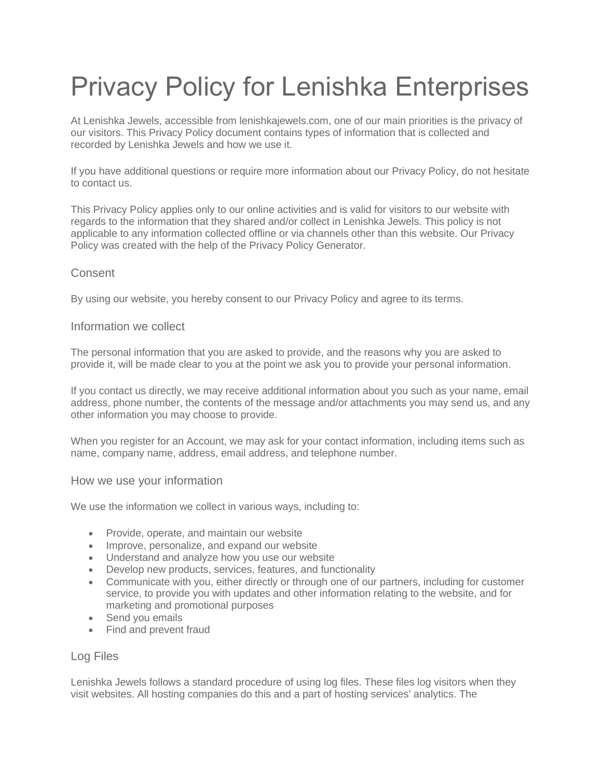# Privacy Policy for Lenishka Enterprises

At Lenishka Jewels, accessible from lenishkajewels.com, one of our main priorities is the privacy of our visitors. This Privacy Policy document contains types of information that is collected and recorded by Lenishka Jewels and how we use it.

If you have additional questions or require more information about our Privacy Policy, do not hesitate to contact us.

This Privacy Policy applies only to our online activities and is valid for visitors to our website with regards to the information that they shared and/or collect in Lenishka Jewels. This policy is not applicable to any information collected offline or via channels other than this website. Our Privacy Policy was created with the help of the [Privacy Policy Generator.](https://www.generateprivacypolicy.com/)

# **Consent**

By using our website, you hereby consent to our Privacy Policy and agree to its terms.

### Information we collect

The personal information that you are asked to provide, and the reasons why you are asked to provide it, will be made clear to you at the point we ask you to provide your personal information.

If you contact us directly, we may receive additional information about you such as your name, email address, phone number, the contents of the message and/or attachments you may send us, and any other information you may choose to provide.

When you register for an Account, we may ask for your contact information, including items such as name, company name, address, email address, and telephone number.

# How we use your information

We use the information we collect in various ways, including to:

- Provide, operate, and maintain our website
- Improve, personalize, and expand our website
- Understand and analyze how you use our website
- Develop new products, services, features, and functionality
- Communicate with you, either directly or through one of our partners, including for customer service, to provide you with updates and other information relating to the website, and for marketing and promotional purposes
- Send you emails
- Find and prevent fraud

#### Log Files

Lenishka Jewels follows a standard procedure of using log files. These files log visitors when they visit websites. All hosting companies do this and a part of hosting services' analytics. The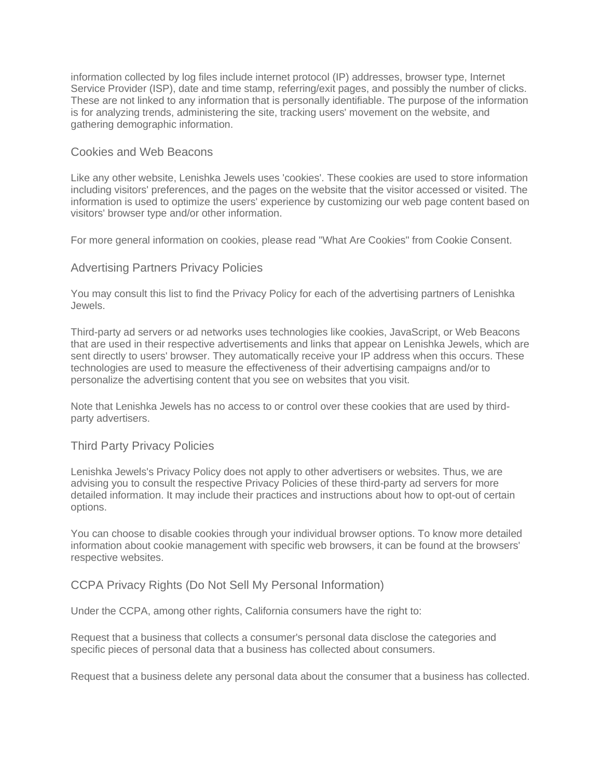information collected by log files include internet protocol (IP) addresses, browser type, Internet Service Provider (ISP), date and time stamp, referring/exit pages, and possibly the number of clicks. These are not linked to any information that is personally identifiable. The purpose of the information is for analyzing trends, administering the site, tracking users' movement on the website, and gathering demographic information.

### Cookies and Web Beacons

Like any other website, Lenishka Jewels uses 'cookies'. These cookies are used to store information including visitors' preferences, and the pages on the website that the visitor accessed or visited. The information is used to optimize the users' experience by customizing our web page content based on visitors' browser type and/or other information.

For more general information on cookies, please read ["What Are Cookies" from Cookie Consent.](https://www.privacypolicyonline.com/what-are-cookies/)

### Advertising Partners Privacy Policies

You may consult this list to find the Privacy Policy for each of the advertising partners of Lenishka Jewels.

Third-party ad servers or ad networks uses technologies like cookies, JavaScript, or Web Beacons that are used in their respective advertisements and links that appear on Lenishka Jewels, which are sent directly to users' browser. They automatically receive your IP address when this occurs. These technologies are used to measure the effectiveness of their advertising campaigns and/or to personalize the advertising content that you see on websites that you visit.

Note that Lenishka Jewels has no access to or control over these cookies that are used by thirdparty advertisers.

#### Third Party Privacy Policies

Lenishka Jewels's Privacy Policy does not apply to other advertisers or websites. Thus, we are advising you to consult the respective Privacy Policies of these third-party ad servers for more detailed information. It may include their practices and instructions about how to opt-out of certain options.

You can choose to disable cookies through your individual browser options. To know more detailed information about cookie management with specific web browsers, it can be found at the browsers' respective websites.

#### CCPA Privacy Rights (Do Not Sell My Personal Information)

Under the CCPA, among other rights, California consumers have the right to:

Request that a business that collects a consumer's personal data disclose the categories and specific pieces of personal data that a business has collected about consumers.

Request that a business delete any personal data about the consumer that a business has collected.